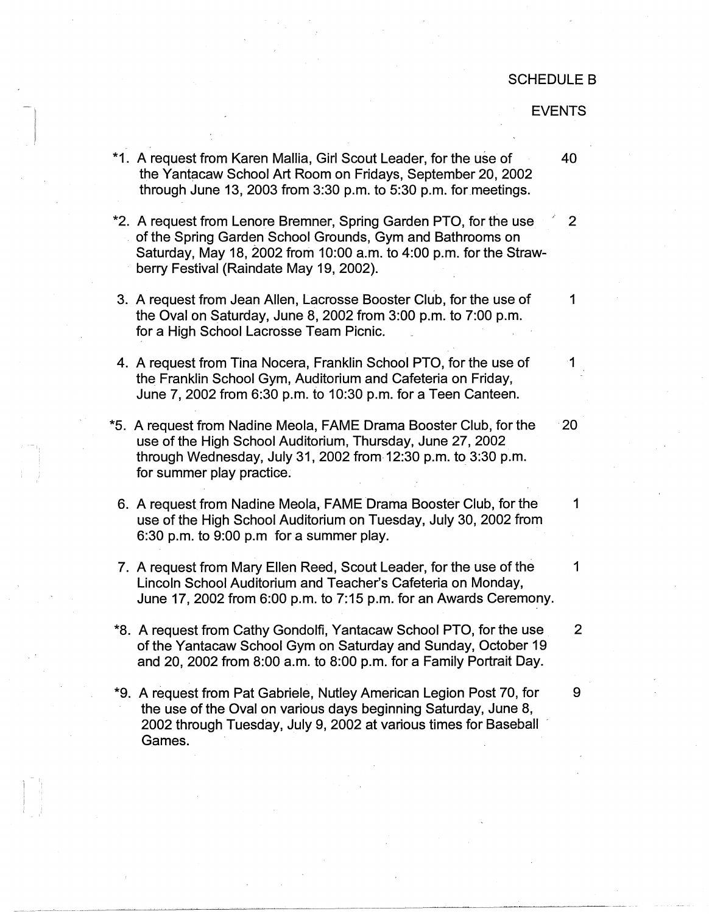## SCHEDULE B

EVENTS

- **\*1.**  A request from Karen Mallia, Girl Scout Leader, for the use of 40 the Yantacaw School Art Room on Fridays, September 20, 2002 through June 13, 2003 from  $3:30$  p.m. to  $5:30$  p.m. for meetings.
- \*2. A request from Lenore Bremner, Spring Garden PTO, for the use  $\qquad 2$ of the Spring Garden School Grounds, Gym and Bathrooms on Saturday, May 18, 2002 from 10:00 a.m. to 4:00 p.m. for the Strawberry Festival (Raindate May 19, 2002).
- 3. A request from Jean Allen, Lacrosse Booster Club, for the use of  $\hskip1cm -1$ the Oval on Saturday, June 8, 2002 from 3:00 p.m. to 7:00 p.m. for a High School Lacrosse Team Picnic.
- 4. A request from Tina Nocera, Franklin School PTO, for the use of 41 the Franklin School Gym, Auditorium and Cafeteria on Friday, June 7, 2002 from 6:30 p.m. to 10:30 p.m. for a Teen Canteen.
- **\*5.**  A request from Nadine Meola, FAME Drama Booster Club, for the 20 use of the High School Auditorium, Thursday, June 27, 2002 through Wednesday, July 31, 2002 from 12:30 p.m. to 3:30 p.m. for summer play practice.
- 6. A request from Nadine Meola, FAME Drama Booster Club, for the 1 use of the High School Auditorium on Tuesday, July 30, 2002 from 6:30 p.m. to 9:00 p.m for a summer play.
- 7. A request from Mary Ellen Reed, Scout Leader, for the use of the 1 Lincoln School Auditorium and Teacher's Cafeteria on Monday, June 17, 2002 from 6:00 p.m. to 7:15 p.m. for an Awards Ceremony.
- \*8. A request from Cathy Gondolfi, Yantacaw School PTO, for the use 2 of the Yantacaw School Gym on Saturday and Sunday, October 19 and 20, 2002 from 8:00 a.m. to 8:00 p.m. for a Family Portrait Day.
- \*9. A request from Pat Gabriele, Nutley American Legion Post 70, for 9 the use of the Oval on various days beginning Saturday, June 8, 2002 through Tuesday, July 9, 2002 at various times for Baseball Games.